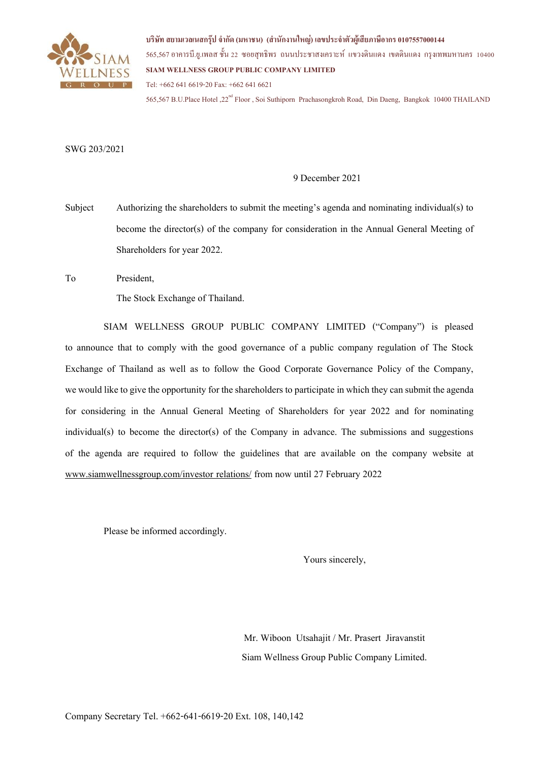

**บริษัท สยามเวลเนสกรุ๊ป จ ากัด (มหาชน) (ส านักงานใหญ่) เลขประจ าตัวผู้เสียภาษีอากร 0107557000144** 565,567 อาคารบี.ย.ูเพลส ช้นั 22 ซอยสุทธิพร ถนนประชาสงเคราะห์ แขวงดินแดง เขตดินแดง กรุงเทพมหานคร 10400 **SIAM WELLNESS GROUP PUBLIC COMPANY LIMITED** Tel: +662 641 6619-20Fax: +662 641 6621

565,567 B.U.Place Hotel .22<sup>nd</sup> Floor , Soi Suthiporn Prachasongkroh Road, Din Daeng, Bangkok 10400 THAILAND

### SWG 203/2021

## 9 December 2021

Subject Authorizing the shareholders to submit the meeting's agenda and nominating individual(s) to become the director(s) of the company for consideration in the Annual General Meeting of Shareholders for year 2022.

To President,

The Stock Exchange of Thailand.

SIAM WELLNESS GROUP PUBLIC COMPANY LIMITED ("Company") is pleased to announce that to comply with the good governance of a public company regulation of The Stock Exchange of Thailand as well as to follow the Good Corporate Governance Policy of the Company, we would like to give the opportunity for the shareholders to participate in which they can submit the agenda for considering in the Annual General Meeting of Shareholders for year 2022 and for nominating individual(s) to become the director(s) of the Company in advance. The submissions and suggestions of the agenda are required to follow the guidelines that are available on the company website at [www.siamwellnessgroup.com/investor relations/](http://www.siamwellnessgroup.com/investor%20relations/%20from%20now%20until%2021%20February%2020) from now until 27 February 2022

Please be informed accordingly.

Yours sincerely,

Mr. Wiboon Utsahajit / Mr. Prasert Jiravanstit Siam Wellness Group Public Company Limited.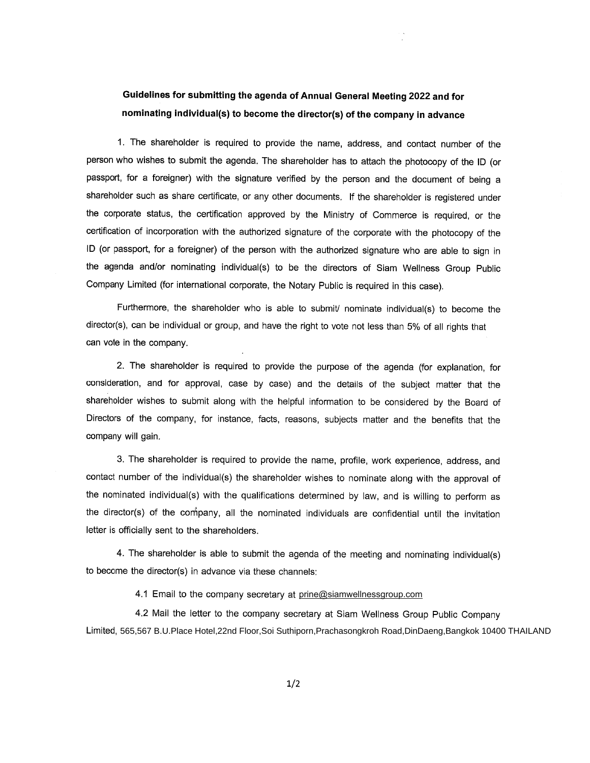# **2022** nominating individual(s) to become the director(s) of the company in advance

1. The shareholder is required to provide the name, address, and contact number of the person who wishes to submit the agenda. The shareholder has to attach the photocopy of the ID (or passport, for a foreigner) with the signature verified by the person and the document of being a shareholder such as share certificate, or any other documents. If the shareholder is registered under the corporate status, the certification approved by the Ministry of Commerce is required, or the certification of incorporation with the authorized signature of the corporate with the photocopy of the ID (or passport, for a foreigner) of the person with the authorized signature who are able to sign in the agenda and/or nominating individual(s) to be the directors of Siam Wellness Group Public Company Limited (for international corporate, the Notary Public is required in this case).

Furthermore, the shareholder who is able to submit/ nominate individual(s) to become the director(s), can be individual or group, and have the right to vote not less than 5% of all rights that can vote in the company.

2. The shareholder is required to provide the purpose of the agenda (for explanation, for consideration, and for approval, case by case) and the details of the subject matter that the shareholder wishes to submit along with the helpful information to be considered by the Board of Directors of the company, for instance, facts, reasons, subjects matter and the benefits that the company will gain.

3. The shareholder is required to provide the name, profile, work experience, address, and contact number of the individual(s) the shareholder wishes to nominate along with the approval of the nominated individual(s) with the qualifications determined by law, and is willing to perform as the director(s) of the company, all the nominated individuals are confidential until the invitation letter is officially sent to the shareholders.

4. The shareholder is able to submit the agenda of the meeting and nominating individual(s) to become the director(s) in advance via these channels:

4.1 Email to the company secretary at prine@siamwellnessgroup.com

4.2 Mail the letter to the company secretary at Siam Wellness Group Public Company 565,567 B.U.Place Hotel,22nd Floor,Soi Suthiporn,Prachasongkroh Road,DinDaeng,Bangkok 10400 THAILAND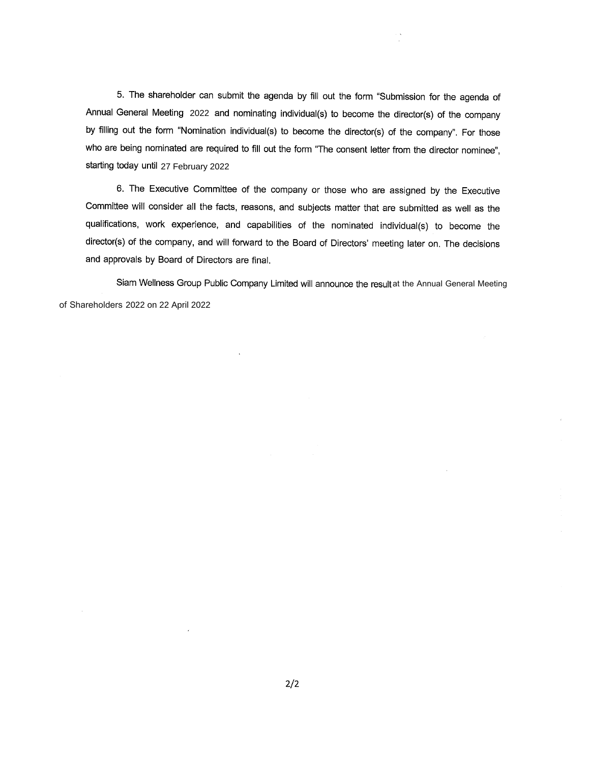5. The shareholder can submit the agenda by fill out the form "Submission for the agenda of Annual General Meeting 2022 and nominating individual(s) to become the director(s) of the company by filling out the form "Nomination individual(s) to become the director(s) of the company". For those who are being nominated are required to fill out the form "The consent letter from the director nominee", starting today until 27 February 2022

6. The Executive Committee of the company or those who are assigned by the Executive Committee will consider all the facts, reasons, and subjects matter that are submitted as well as the qualifications, work experience, and capabilities of the nominated individual(s) to become the director(s) of the company, and will forward to the Board of Directors' meeting later on. The decisions and approvals by Board of Directors are final.

Siam Wellness Group Public Company Limited will announce the result at the Annual General Meeting of Shareholders 2022 on 22 April 2022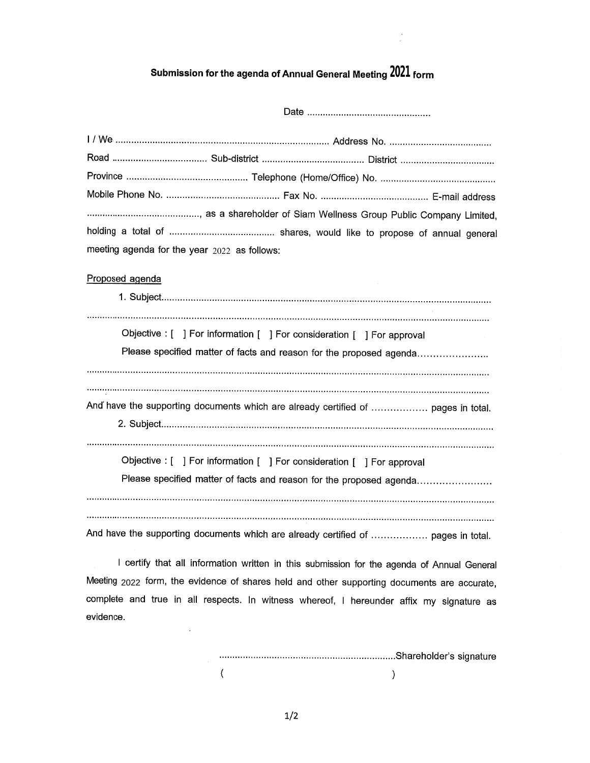# **2021**

 $\frac{1}{2}$ 

| meeting agenda for the year $2022$ as follows:                                    |
|-----------------------------------------------------------------------------------|
| Proposed agenda                                                                   |
|                                                                                   |
|                                                                                   |
| Objective : [ ] For information [ ] For consideration [ ] For approval            |
| Please specified matter of facts and reason for the proposed agenda               |
|                                                                                   |
|                                                                                   |
| And have the supporting documents which are already certified of  pages in total. |
|                                                                                   |
| Objective : [ ] For information [ ] For consideration [ ] For approval            |
|                                                                                   |
| Please specified matter of facts and reason for the proposed agenda               |
|                                                                                   |
| And have the supporting documents which are already certified of  pages in total. |

I certify that all information written in this submission for the agenda of Annual General 2022complete and true in all respects. In witness whereof, I hereunder affix my signature as evidence.

 $\ddot{\phantom{0}}$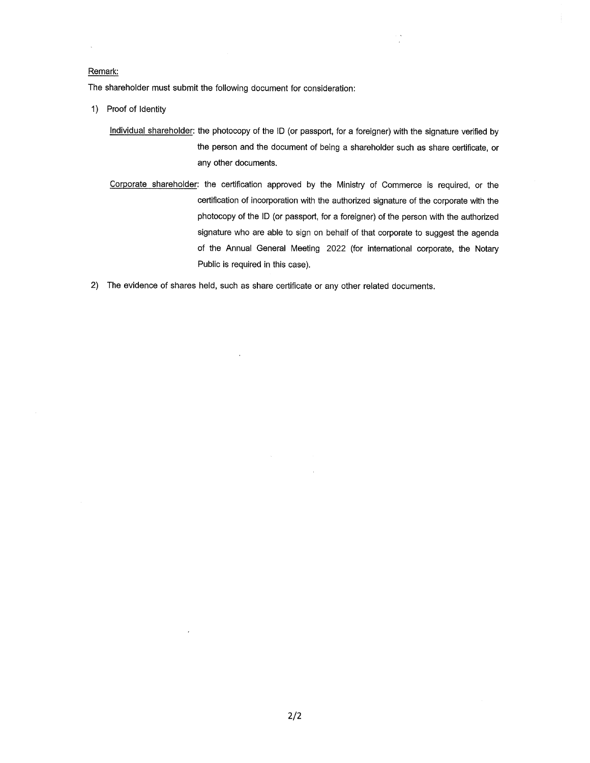#### Remark:

The shareholder must submit the following document for consideration:

- 1) Proof of Identity
	- Individual shareholder: the photocopy of the ID (or passport, for a foreigner) with the signature verified by the person and the document of being a shareholder such as share certificate, or any other documents.
	- Corporate shareholder: the certification approved by the Ministry of Commerce is required, or the certification of incorporation with the authorized signature of the corporate with the photocopy of the ID (or passport, for a foreigner) of the person with the authorized signature who are able to sign on behalf of that corporate to suggest the agenda of the Annual General Meeting 2022 (for international corporate, the Notary Public is required in this case).

 $\mathcal{L}$ 

2) The evidence of shares held, such as share certificate or any other related documents.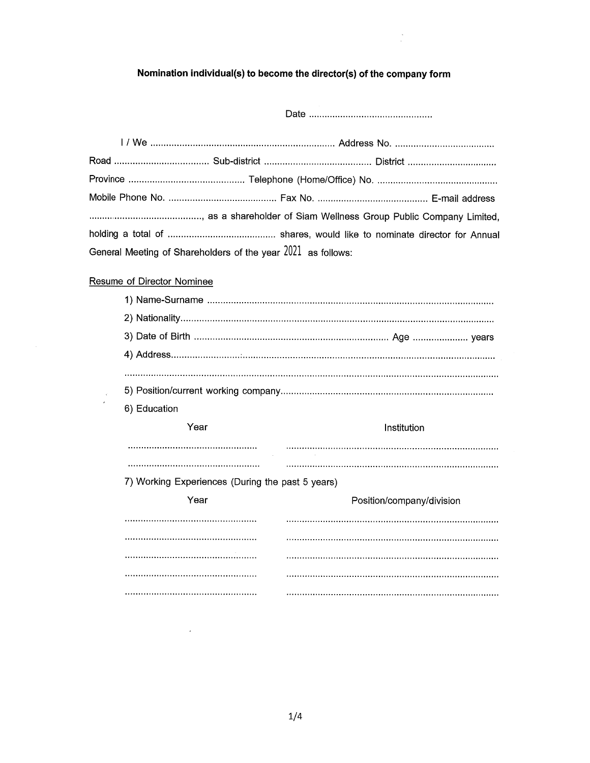# Nomination individual(s) to become the director(s) of the company form

| General Meeting of Shareholders of the year 2021 as follows: |  |  |
|--------------------------------------------------------------|--|--|

# **Resume of Director Nominee**

 $\bar{\beta}$ 

 $\frac{1}{2}$ 

 $\hat{\mathcal{A}}$ 

| 6) Education                                     |                           |
|--------------------------------------------------|---------------------------|
| Year                                             | Institution               |
|                                                  |                           |
|                                                  |                           |
|                                                  |                           |
| 7) Working Experiences (During the past 5 years) |                           |
| Year                                             | Position/company/division |
|                                                  |                           |
|                                                  |                           |
|                                                  |                           |
| ,,,,,,,,,,,,,,,,,,,,,,,,,,,,,,,,,,               |                           |
|                                                  |                           |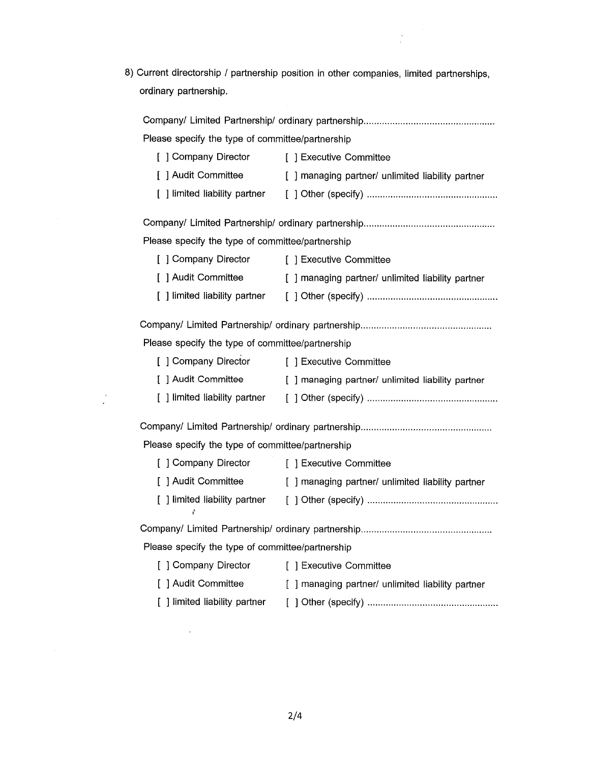8) Current directorship / partnership position in other companies, limited partnerships, ordinary partnership.

 $\frac{1}{2}$ 

| Please specify the type of committee/partnership                      |                                                                       |  |  |
|-----------------------------------------------------------------------|-----------------------------------------------------------------------|--|--|
| [ ] Company Director [ ] Executive Committee                          |                                                                       |  |  |
|                                                                       | [ ] Audit Committee [ ] managing partner/ unlimited liability partner |  |  |
|                                                                       |                                                                       |  |  |
|                                                                       |                                                                       |  |  |
| Please specify the type of committee/partnership                      |                                                                       |  |  |
| [ ] Company Director [ ] Executive Committee                          |                                                                       |  |  |
|                                                                       | [ ] Audit Committee [ ] managing partner/ unlimited liability partner |  |  |
|                                                                       |                                                                       |  |  |
|                                                                       |                                                                       |  |  |
| Please specify the type of committee/partnership                      |                                                                       |  |  |
| [ ] Company Director [ ] Executive Committee                          |                                                                       |  |  |
|                                                                       | [ ] Audit Committee [ ] managing partner/ unlimited liability partner |  |  |
|                                                                       |                                                                       |  |  |
|                                                                       |                                                                       |  |  |
| Please specify the type of committee/partnership                      |                                                                       |  |  |
| [ ] Company Director [ ] Executive Committee                          |                                                                       |  |  |
|                                                                       | [ ] Audit Committee [ ] managing partner/ unlimited liability partner |  |  |
| 才                                                                     |                                                                       |  |  |
|                                                                       |                                                                       |  |  |
| Please specify the type of committee/partnership                      |                                                                       |  |  |
| [] Company Director [] Executive Committee                            |                                                                       |  |  |
| [ ] Audit Committee [ ] managing partner/ unlimited liability partner |                                                                       |  |  |
|                                                                       |                                                                       |  |  |

 $\frac{1}{2}$ 

 $\hat{\mathcal{A}}$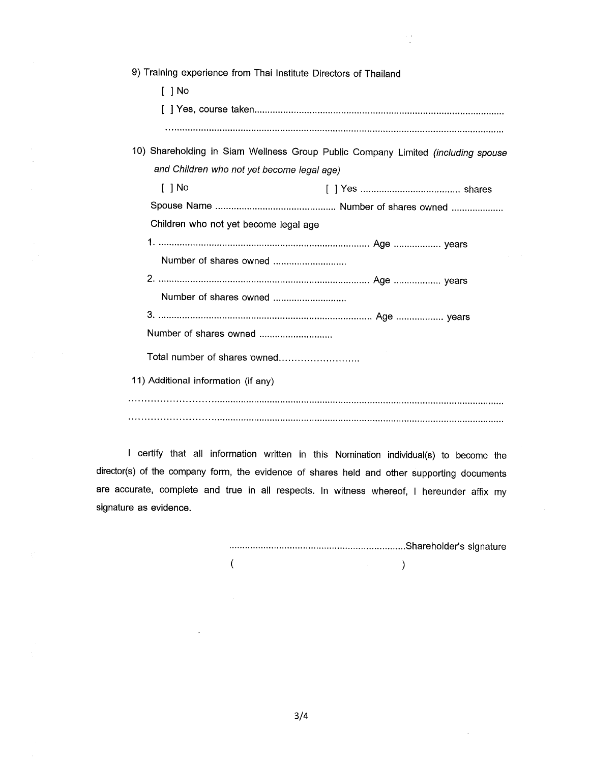| 9) Training experience from Thai Institute Directors of Thailand                 |  |  |
|----------------------------------------------------------------------------------|--|--|
| [ ] No                                                                           |  |  |
|                                                                                  |  |  |
|                                                                                  |  |  |
| 10) Shareholding in Siam Wellness Group Public Company Limited (including spouse |  |  |
| and Children who not yet become legal age)                                       |  |  |
| $[$ $]$ No                                                                       |  |  |
|                                                                                  |  |  |
| Children who not yet become legal age                                            |  |  |
|                                                                                  |  |  |
| Number of shares owned                                                           |  |  |
|                                                                                  |  |  |
| Number of shares owned                                                           |  |  |
|                                                                                  |  |  |
| Number of shares owned                                                           |  |  |
| Total number of shares owned                                                     |  |  |
| 11) Additional information (if any)                                              |  |  |
|                                                                                  |  |  |
|                                                                                  |  |  |

 $\frac{1}{2}$ 

I certify that all information written in this Nomination individual(s) to become the director(s) of the company form, the evidence of shares held and other supporting documents are accurate, complete and true in all respects. In witness whereof, I hereunder affix my signature as evidence.

 $\sim$ 

 $\epsilon$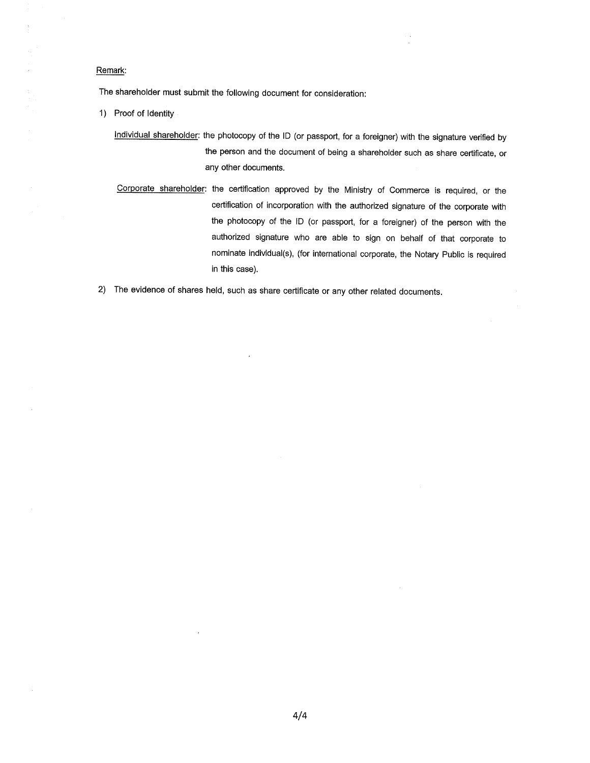#### Remark:

The shareholder must submit the following document for consideration:

- 1) Proof of Identity
	- Individual shareholder: the photocopy of the ID (or passport, for a foreigner) with the signature verified by the person and the document of being a shareholder such as share certificate, or any other documents.
	- Corporate shareholder: the certification approved by the Ministry of Commerce is required, or the certification of incorporation with the authorized signature of the corporate with the photocopy of the ID (or passport, for a foreigner) of the person with the authorized signature who are able to sign on behalf of that corporate to nominate individual(s), (for international corporate, the Notary Public is required in this case).

2) The evidence of shares held, such as share certificate or any other related documents.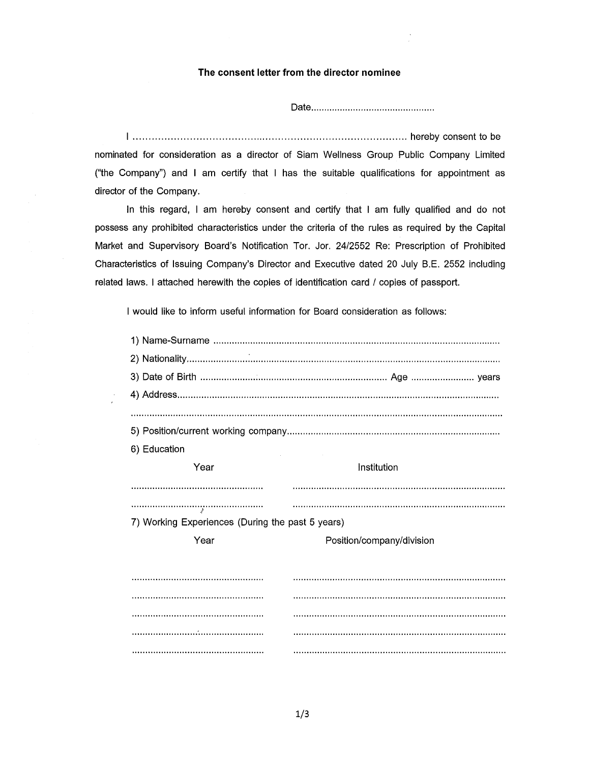### The consent letter from the director nominee

nominated for consideration as a director of Siam Wellness Group Public Company Limited ("the Company") and I am certify that I has the suitable qualifications for appointment as director of the Company.

In this regard, I am hereby consent and certify that I am fully qualified and do not possess any prohibited characteristics under the criteria of the rules as required by the Capital Market and Supervisory Board's Notification Tor. Jor. 24/2552 Re: Prescription of Prohibited Characteristics of Issuing Company's Director and Executive dated 20 July B.E. 2552 including related laws. I attached herewith the copies of identification card / copies of passport.

I would like to inform useful information for Board consideration as follows:

| 6) Education                                     |                           |
|--------------------------------------------------|---------------------------|
| Year                                             | Institution               |
|                                                  |                           |
|                                                  |                           |
| 7) Working Experiences (During the past 5 years) |                           |
| Year                                             | Position/company/division |
|                                                  |                           |
|                                                  |                           |
|                                                  |                           |
|                                                  |                           |
|                                                  |                           |
|                                                  |                           |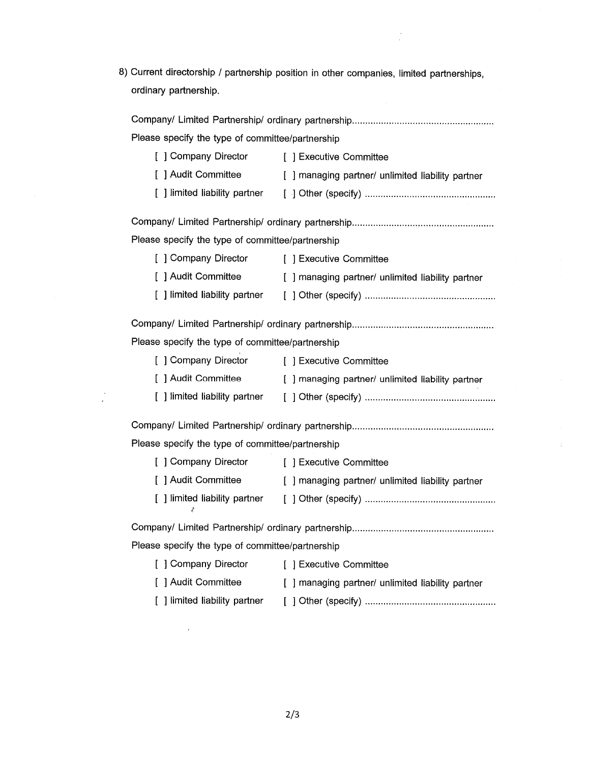8) Current directorship / partnership position in other companies, limited partnerships, ordinary partnership.

| Please specify the type of committee/partnership                      |                                                                       |  |  |  |
|-----------------------------------------------------------------------|-----------------------------------------------------------------------|--|--|--|
| [ ] Company Director [ ] Executive Committee                          |                                                                       |  |  |  |
|                                                                       | [ ] Audit Committee [ ] managing partner/ unlimited liability partner |  |  |  |
|                                                                       |                                                                       |  |  |  |
|                                                                       |                                                                       |  |  |  |
|                                                                       |                                                                       |  |  |  |
| Please specify the type of committee/partnership                      |                                                                       |  |  |  |
| [ ] Company Director                                                  | [ ] Executive Committee                                               |  |  |  |
|                                                                       | [ ] Audit Committee [ ] managing partner/ unlimited liability partner |  |  |  |
|                                                                       |                                                                       |  |  |  |
|                                                                       |                                                                       |  |  |  |
|                                                                       |                                                                       |  |  |  |
| Please specify the type of committee/partnership                      |                                                                       |  |  |  |
| [ ] Company Director [ ] Executive Committee                          |                                                                       |  |  |  |
|                                                                       | [ ] Audit Committee [ ] managing partner/ unlimited liability partner |  |  |  |
|                                                                       |                                                                       |  |  |  |
|                                                                       |                                                                       |  |  |  |
| Please specify the type of committee/partnership                      |                                                                       |  |  |  |
| [ ] Company Director [ ] Executive Committee                          |                                                                       |  |  |  |
|                                                                       | [ ] Audit Committee [ ] managing partner/ unlimited liability partner |  |  |  |
| Ł                                                                     |                                                                       |  |  |  |
|                                                                       |                                                                       |  |  |  |
| Please specify the type of committee/partnership                      |                                                                       |  |  |  |
| [ ] Company Director                                                  | [ ] Executive Committee                                               |  |  |  |
| [ ] Audit Committee [ ] managing partner/ unlimited liability partner |                                                                       |  |  |  |
| [ ] limited liability partner                                         |                                                                       |  |  |  |

 $\frac{1}{2}$ 

 $\mathcal{A}$